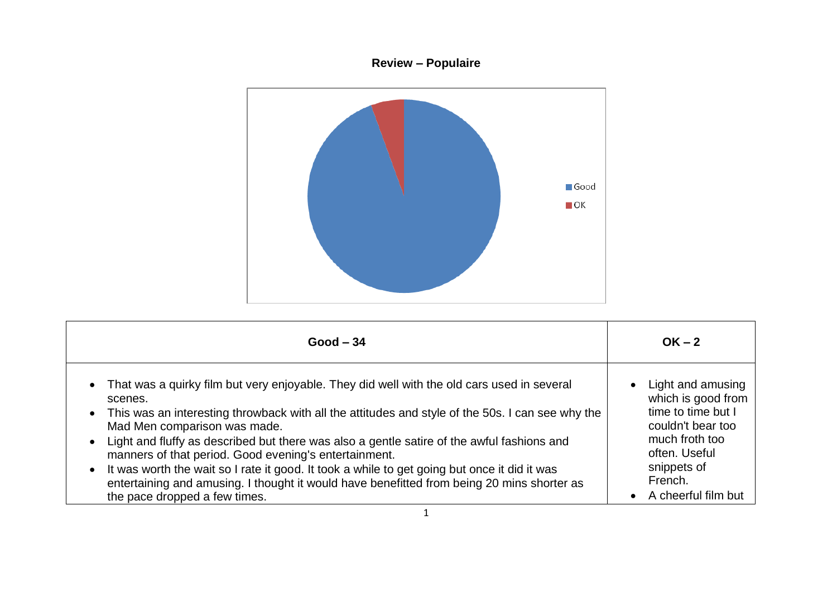## **Review – Populaire**



| $Good - 34$                                                                                                                                                                                                                                                                                                                                                                                                                                                                                                                                                                                                                         | $OK - 2$                                                                                                                                                                                         |
|-------------------------------------------------------------------------------------------------------------------------------------------------------------------------------------------------------------------------------------------------------------------------------------------------------------------------------------------------------------------------------------------------------------------------------------------------------------------------------------------------------------------------------------------------------------------------------------------------------------------------------------|--------------------------------------------------------------------------------------------------------------------------------------------------------------------------------------------------|
| That was a quirky film but very enjoyable. They did well with the old cars used in several<br>scenes.<br>• This was an interesting throwback with all the attitudes and style of the 50s. I can see why the<br>Mad Men comparison was made.<br>Light and fluffy as described but there was also a gentle satire of the awful fashions and<br>manners of that period. Good evening's entertainment.<br>• It was worth the wait so I rate it good. It took a while to get going but once it did it was<br>entertaining and amusing. I thought it would have benefitted from being 20 mins shorter as<br>the pace dropped a few times. | Light and amusing<br>$\bullet$<br>which is good from<br>time to time but I<br>couldn't bear too<br>much froth too<br>often. Useful<br>snippets of<br>French.<br>A cheerful film but<br>$\bullet$ |